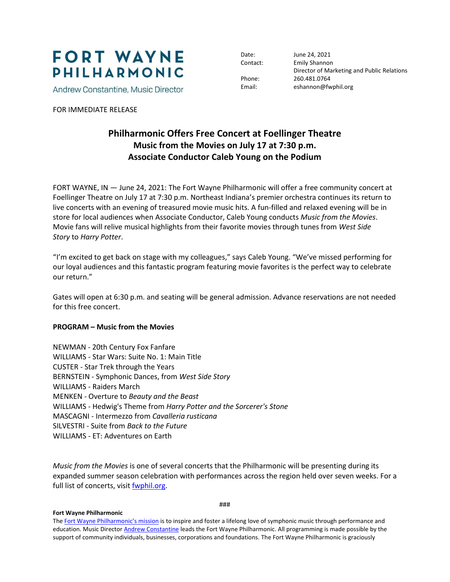

Andrew Constantine, Music Director

FOR IMMEDIATE RELEASE

Date: June 24, 2021 Contact: Emily Shannon Director of Marketing and Public Relations Phone: 260.481.0764 Email: eshannon@fwphil.org

## **Philharmonic Offers Free Concert at Foellinger Theatre Music from the Movies on July 17 at 7:30 p.m. Associate Conductor Caleb Young on the Podium**

FORT WAYNE, IN — June 24, 2021: The Fort Wayne Philharmonic will offer a free community concert at Foellinger Theatre on July 17 at 7:30 p.m. Northeast Indiana's premier orchestra continues its return to live concerts with an evening of treasured movie music hits. A fun-filled and relaxed evening will be in store for local audiences when Associate Conductor, Caleb Young conducts *Music from the Movies*. Movie fans will relive musical highlights from their favorite movies through tunes from *West Side Story* to *Harry Potter*.

"I'm excited to get back on stage with my colleagues," says Caleb Young. "We've missed performing for our loyal audiences and this fantastic program featuring movie favorites is the perfect way to celebrate our return."

Gates will open at 6:30 p.m. and seating will be general admission. Advance reservations are not needed for this free concert.

## **PROGRAM – Music from the Movies**

NEWMAN - 20th Century Fox Fanfare WILLIAMS - Star Wars: Suite No. 1: Main Title CUSTER - Star Trek through the Years BERNSTEIN - Symphonic Dances, from *West Side Story* WILLIAMS - Raiders March MENKEN - Overture to *Beauty and the Beast* WILLIAMS - Hedwig's Theme from *Harry Potter and the Sorcerer's Stone* MASCAGNI - Intermezzo from *Cavalleria rusticana* SILVESTRI - Suite from *Back to the Future* WILLIAMS - ET: Adventures on Earth

*Music from the Movies* is one of several concerts that the Philharmonic will be presenting during its expanded summer season celebration with performances across the region held over seven weeks. For a full list of concerts, visi[t fwphil.org.](http://www.fwphil.org/)

###

## **Fort Wayne Philharmonic**

The [Fort Wayne Philharmonic's mission](https://fwphil.org/about-the-phil/mission-values) is to inspire and foster a lifelong love of symphonic music through performance and education. Music Directo[r Andrew Constantine](https://fwphil.org/about-the-phil/artistic-leadership/andrew-constantine) leads the Fort Wayne Philharmonic. All programming is made possible by the support of community individuals, businesses, corporations and foundations. The Fort Wayne Philharmonic is graciously